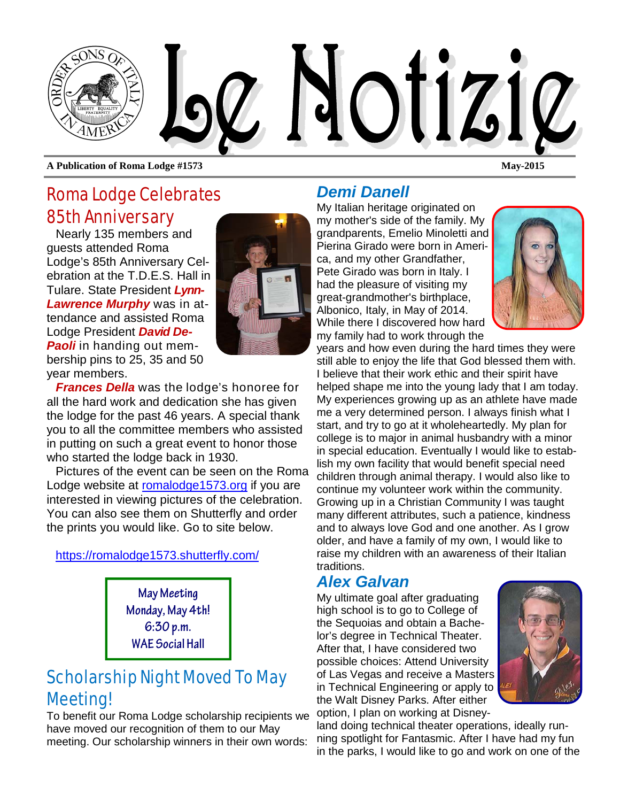

Roma Lodge Celebrates 85th Anniversary

Nearly 135 members and guests attended Roma Lodge's 85th Anniversary Celebration at the T.D.E.S. Hall in Tulare. State President *Lynn-Lawrence Murphy* was in attendance and assisted Roma Lodge President *David De-Paoli* in handing out membership pins to 25, 35 and 50 year members.



*Frances Della* was the lodge's honoree for all the hard work and dedication she has given the lodge for the past 46 years. A special thank you to all the committee members who assisted in putting on such a great event to honor those who started the lodge back in 1930.

Pictures of the event can be seen on the Roma Lodge website at romalodge1573.org if you are interested in viewing pictures of the celebration. You can also see them on Shutterfly and order the prints you would like. Go to site below.

### https://romalodge1573.shutterfly.com/

**May Meeting Monday, May 4th! 6:30 p.m. WAE Social Hall**

# Scholarship Night Moved To May Meeting!

To benefit our Roma Lodge scholarship recipients we have moved our recognition of them to our May meeting. Our scholarship winners in their own words:

## *Demi Danell*

My Italian heritage originated on my mother's side of the family. My grandparents, Emelio Minoletti and Pierina Girado were born in America, and my other Grandfather, Pete Girado was born in Italy. I had the pleasure of visiting my great-grandmother's birthplace, Albonico, Italy, in May of 2014. While there I discovered how hard my family had to work through the



years and how even during the hard times they were still able to enjoy the life that God blessed them with. I believe that their work ethic and their spirit have helped shape me into the young lady that I am today. My experiences growing up as an athlete have made me a very determined person. I always finish what I start, and try to go at it wholeheartedly. My plan for college is to major in animal husbandry with a minor in special education. Eventually I would like to establish my own facility that would benefit special need children through animal therapy. I would also like to continue my volunteer work within the community. Growing up in a Christian Community I was taught many different attributes, such a patience, kindness and to always love God and one another. As I grow older, and have a family of my own, I would like to raise my children with an awareness of their Italian traditions.

## *Alex Galvan*

My ultimate goal after graduating high school is to go to College of the Sequoias and obtain a Bachelor's degree in Technical Theater. After that, I have considered two possible choices: Attend University of Las Vegas and receive a Masters in Technical Engineering or apply to the Walt Disney Parks. After either option, I plan on working at Disney-



land doing technical theater operations, ideally running spotlight for Fantasmic. After I have had my fun in the parks, I would like to go and work on one of the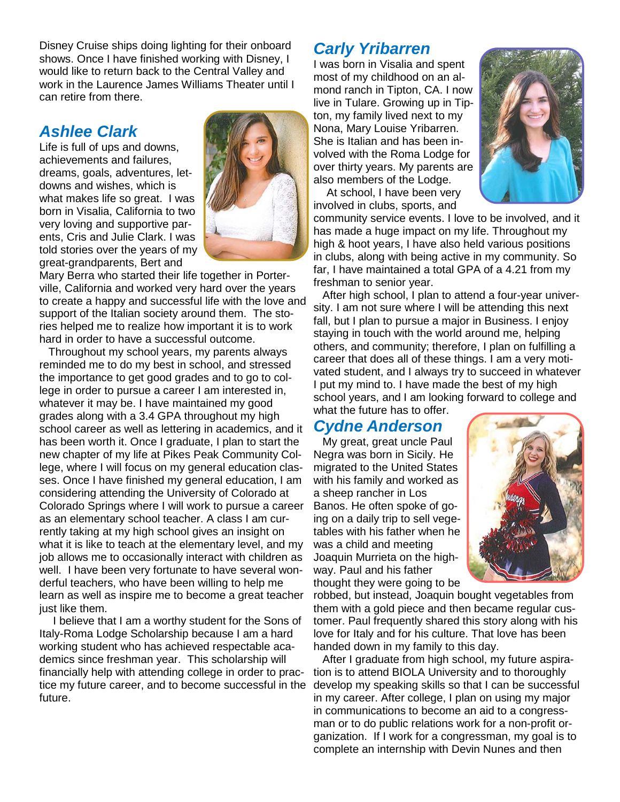Disney Cruise ships doing lighting for their onboard shows. Once I have finished working with Disney, I would like to return back to the Central Valley and work in the Laurence James Williams Theater until I can retire from there.

### *Ashlee Clark*

Life is full of ups and downs, achievements and failures, dreams, goals, adventures, letdowns and wishes, which is what makes life so great. I was born in Visalia, California to two very loving and supportive parents, Cris and Julie Clark. I was told stories over the years of my great-grandparents, Bert and



Mary Berra who started their life together in Porterville, California and worked very hard over the years to create a happy and successful life with the love and support of the Italian society around them. The stories helped me to realize how important it is to work hard in order to have a successful outcome.

Throughout my school years, my parents always reminded me to do my best in school, and stressed the importance to get good grades and to go to college in order to pursue a career I am interested in, whatever it may be. I have maintained my good grades along with a 3.4 GPA throughout my high school career as well as lettering in academics, and it has been worth it. Once I graduate, I plan to start the new chapter of my life at Pikes Peak Community College, where I will focus on my general education classes. Once I have finished my general education, I am considering attending the University of Colorado at Colorado Springs where I will work to pursue a career as an elementary school teacher. A class I am currently taking at my high school gives an insight on what it is like to teach at the elementary level, and my job allows me to occasionally interact with children as well. I have been very fortunate to have several wonderful teachers, who have been willing to help me learn as well as inspire me to become a great teacher just like them.

I believe that I am a worthy student for the Sons of Italy-Roma Lodge Scholarship because I am a hard working student who has achieved respectable academics since freshman year. This scholarship will financially help with attending college in order to practice my future career, and to become successful in the future.

### *Carly Yribarren*

I was born in Visalia and spent most of my childhood on an almond ranch in Tipton, CA. I now live in Tulare. Growing up in Tipton, my family lived next to my Nona, Mary Louise Yribarren. She is Italian and has been involved with the Roma Lodge for over thirty years. My parents are also members of the Lodge.

At school, I have been very involved in clubs, sports, and



community service events. I love to be involved, and it has made a huge impact on my life. Throughout my high & hoot years, I have also held various positions in clubs, along with being active in my community. So far, I have maintained a total GPA of a 4.21 from my freshman to senior year.

After high school, I plan to attend a four-year university. I am not sure where I will be attending this next fall, but I plan to pursue a major in Business. I enjoy staying in touch with the world around me, helping others, and community; therefore, I plan on fulfilling a career that does all of these things. I am a very motivated student, and I always try to succeed in whatever I put my mind to. I have made the best of my high school years, and I am looking forward to college and what the future has to offer.

## *Cydne Anderson*

My great, great uncle Paul Negra was born in Sicily. He migrated to the United States with his family and worked as a sheep rancher in Los Banos. He often spoke of going on a daily trip to sell vegetables with his father when he was a child and meeting Joaquin Murrieta on the highway. Paul and his father thought they were going to be



robbed, but instead, Joaquin bought vegetables from them with a gold piece and then became regular customer. Paul frequently shared this story along with his love for Italy and for his culture. That love has been handed down in my family to this day.

After I graduate from high school, my future aspiration is to attend BIOLA University and to thoroughly develop my speaking skills so that I can be successful in my career. After college, I plan on using my major in communications to become an aid to a congressman or to do public relations work for a non-profit organization. If I work for a congressman, my goal is to complete an internship with Devin Nunes and then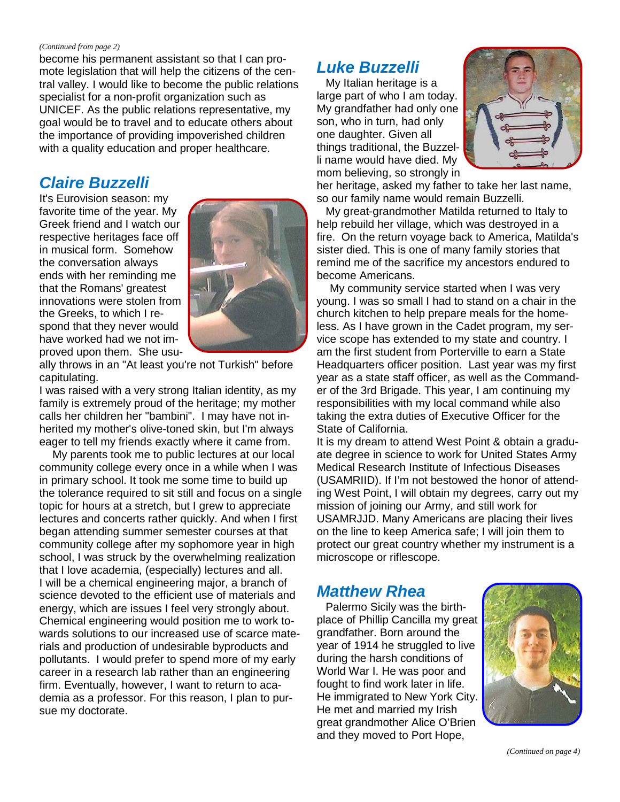#### *(Continued from page 2)*

become his permanent assistant so that I can promote legislation that will help the citizens of the central valley. I would like to become the public relations specialist for a non-profit organization such as UNICEF. As the public relations representative, my goal would be to travel and to educate others about the importance of providing impoverished children with a quality education and proper healthcare.

### *Claire Buzzelli*

It's Eurovision season: my favorite time of the year. My Greek friend and I watch our respective heritages face off in musical form. Somehow the conversation always ends with her reminding me that the Romans' greatest innovations were stolen from the Greeks, to which I respond that they never would have worked had we not improved upon them. She usu-



ally throws in an "At least you're not Turkish" before capitulating.

I was raised with a very strong Italian identity, as my family is extremely proud of the heritage; my mother calls her children her "bambini". I may have not inherited my mother's olive-toned skin, but I'm always eager to tell my friends exactly where it came from.

My parents took me to public lectures at our local community college every once in a while when I was in primary school. It took me some time to build up the tolerance required to sit still and focus on a single topic for hours at a stretch, but I grew to appreciate lectures and concerts rather quickly. And when I first began attending summer semester courses at that community college after my sophomore year in high school, I was struck by the overwhelming realization that I love academia, (especially) lectures and all. I will be a chemical engineering major, a branch of science devoted to the efficient use of materials and energy, which are issues I feel very strongly about. Chemical engineering would position me to work towards solutions to our increased use of scarce materials and production of undesirable byproducts and pollutants. I would prefer to spend more of my early career in a research lab rather than an engineering firm. Eventually, however, I want to return to academia as a professor. For this reason, I plan to pursue my doctorate.

## *Luke Buzzelli*

My Italian heritage is a large part of who I am today. My grandfather had only one son, who in turn, had only one daughter. Given all things traditional, the Buzzelli name would have died. My mom believing, so strongly in



her heritage, asked my father to take her last name, so our family name would remain Buzzelli.

My great-grandmother Matilda returned to Italy to help rebuild her village, which was destroyed in a fire. On the return voyage back to America, Matilda's sister died. This is one of many family stories that remind me of the sacrifice my ancestors endured to become Americans.

My community service started when I was very young. I was so small I had to stand on a chair in the church kitchen to help prepare meals for the homeless. As I have grown in the Cadet program, my service scope has extended to my state and country. I am the first student from Porterville to earn a State Headquarters officer position. Last year was my first year as a state staff officer, as well as the Commander of the 3rd Brigade. This year, I am continuing my responsibilities with my local command while also taking the extra duties of Executive Officer for the State of California.

It is my dream to attend West Point & obtain a graduate degree in science to work for United States Army Medical Research Institute of Infectious Diseases (USAMRIID). If I'm not bestowed the honor of attending West Point, I will obtain my degrees, carry out my mission of joining our Army, and still work for USAMRJJD. Many Americans are placing their lives on the line to keep America safe; I will join them to protect our great country whether my instrument is a microscope or riflescope.

### *Matthew Rhea*

Palermo Sicily was the birthplace of Phillip Cancilla my great grandfather. Born around the year of 1914 he struggled to live during the harsh conditions of World War I. He was poor and fought to find work later in life. He immigrated to New York City. He met and married my Irish great grandmother Alice O'Brien and they moved to Port Hope,